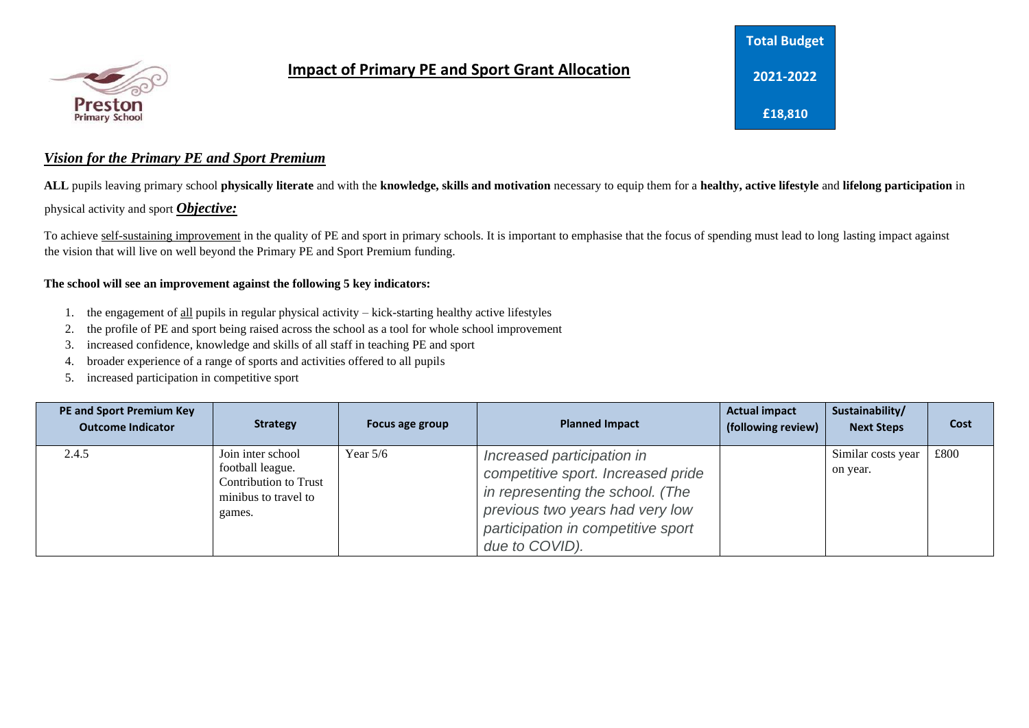

## **Impact of Primary PE and Sport Grant Allocation**

## **Total Budget 2021-2022 £18,810**

## *Vision for the Primary PE and Sport Premium*

**ALL** pupils leaving primary school **physically literate** and with the **knowledge, skills and motivation** necessary to equip them for a **healthy, active lifestyle** and **lifelong participation** in physical activity and sport *Objective:* 

To achieve self-sustaining improvement in the quality of PE and sport in primary schools. It is important to emphasise that the focus of spending must lead to long lasting impact against the vision that will live on well beyond the Primary PE and Sport Premium funding.

## **The school will see an improvement against the following 5 key indicators:**

- 1. the engagement of all pupils in regular physical activity kick-starting healthy active lifestyles
- 2. the profile of PE and sport being raised across the school as a tool for whole school improvement
- 3. increased confidence, knowledge and skills of all staff in teaching PE and sport
- 4. broader experience of a range of sports and activities offered to all pupils
- 5. increased participation in competitive sport

| <b>PE and Sport Premium Key</b><br><b>Outcome Indicator</b> | <b>Strategy</b>                                                                                  | Focus age group | <b>Planned Impact</b>                                                                                                                                                                           | <b>Actual impact</b><br>(following review) | Sustainability/<br><b>Next Steps</b> | Cost |
|-------------------------------------------------------------|--------------------------------------------------------------------------------------------------|-----------------|-------------------------------------------------------------------------------------------------------------------------------------------------------------------------------------------------|--------------------------------------------|--------------------------------------|------|
| 2.4.5                                                       | Join inter school<br>football league.<br>Contribution to Trust<br>minibus to travel to<br>games. | Year $5/6$      | Increased participation in<br>competitive sport. Increased pride<br>in representing the school. (The<br>previous two years had very low<br>participation in competitive sport<br>due to COVID). |                                            | Similar costs year<br>on year.       | £800 |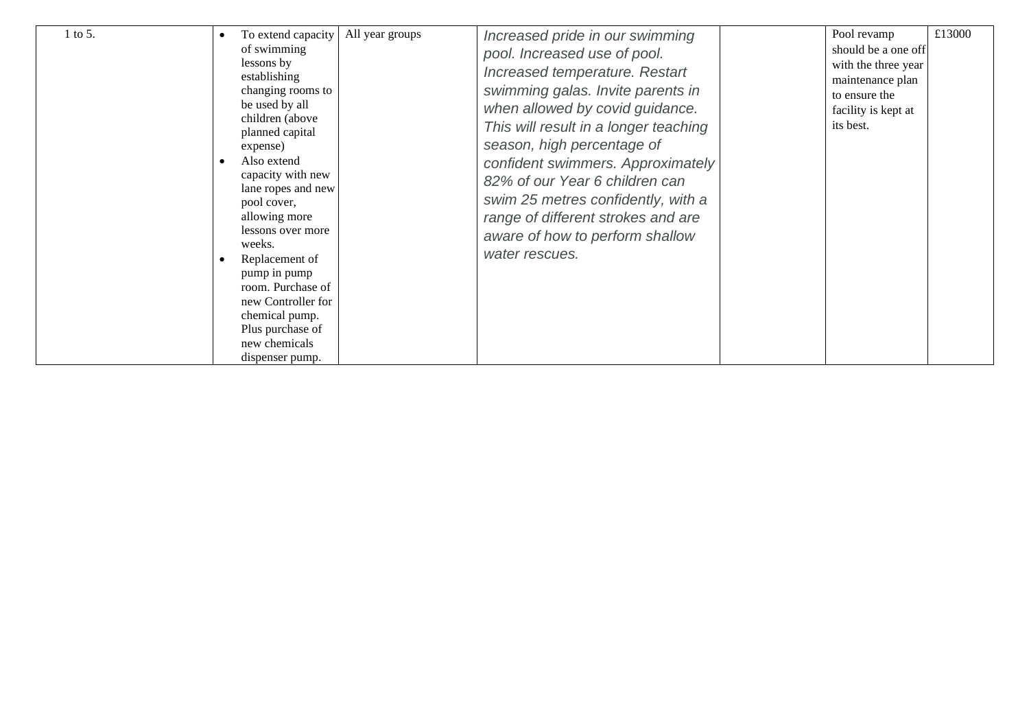| 1 to 5. | To extend capacity<br>of swimming<br>lessons by<br>establishing<br>changing rooms to<br>be used by all<br>children (above<br>planned capital<br>expense)<br>Also extend<br>capacity with new<br>lane ropes and new<br>pool cover,<br>allowing more<br>lessons over more<br>weeks.<br>Replacement of<br>pump in pump<br>room. Purchase of<br>new Controller for<br>chemical pump.<br>Plus purchase of<br>new chemicals<br>dispenser pump. | All year groups | Increased pride in our swimming<br>pool. Increased use of pool.<br>Increased temperature. Restart<br>swimming galas. Invite parents in<br>when allowed by covid guidance.<br>This will result in a longer teaching<br>season, high percentage of<br>confident swimmers. Approximately<br>82% of our Year 6 children can<br>swim 25 metres confidently, with a<br>range of different strokes and are<br>aware of how to perform shallow<br>water rescues. |  | Pool revamp<br>should be a one off<br>with the three year<br>maintenance plan<br>to ensure the<br>facility is kept at<br>its best. | £13000 |
|---------|------------------------------------------------------------------------------------------------------------------------------------------------------------------------------------------------------------------------------------------------------------------------------------------------------------------------------------------------------------------------------------------------------------------------------------------|-----------------|----------------------------------------------------------------------------------------------------------------------------------------------------------------------------------------------------------------------------------------------------------------------------------------------------------------------------------------------------------------------------------------------------------------------------------------------------------|--|------------------------------------------------------------------------------------------------------------------------------------|--------|
|---------|------------------------------------------------------------------------------------------------------------------------------------------------------------------------------------------------------------------------------------------------------------------------------------------------------------------------------------------------------------------------------------------------------------------------------------------|-----------------|----------------------------------------------------------------------------------------------------------------------------------------------------------------------------------------------------------------------------------------------------------------------------------------------------------------------------------------------------------------------------------------------------------------------------------------------------------|--|------------------------------------------------------------------------------------------------------------------------------------|--------|